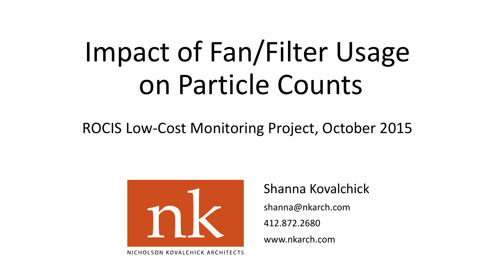# Impact of Fan/Filter Usage on Particle Counts

## ROCIS Low-Cost Monitoring Project, October 2015



Shanna Kovalchick shanna@nkarch.com 412.872.2680

www.nkarch.com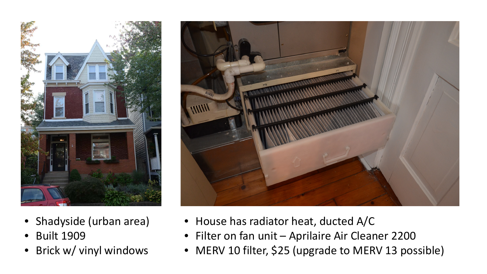

- Shadyside (urban area)
- Built 1909
- Brick w/ vinyl windows



- House has radiator heat, ducted A/C
- Filter on fan unit Aprilaire Air Cleaner 2200
- MERV 10 filter, \$25 (upgrade to MERV 13 possible)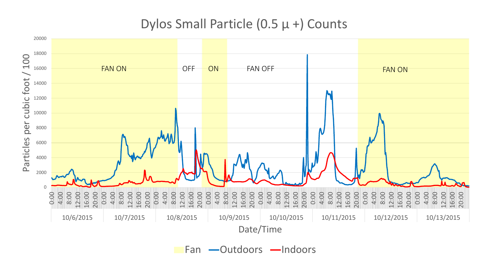### Dylos Small Particle (0.5 μ +) Counts



Fan -Outdoors -Indoors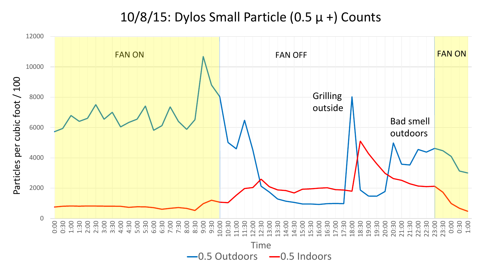### 10/8/15: Dylos Small Particle (0.5  $\mu$  +) Counts

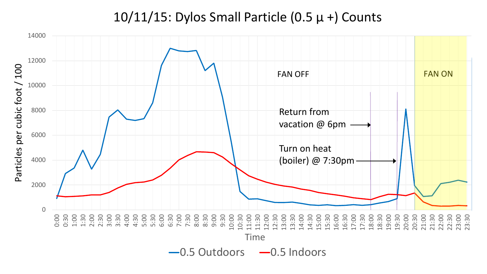#### 10/11/15: Dylos Small Particle (0.5  $\mu$  +) Counts